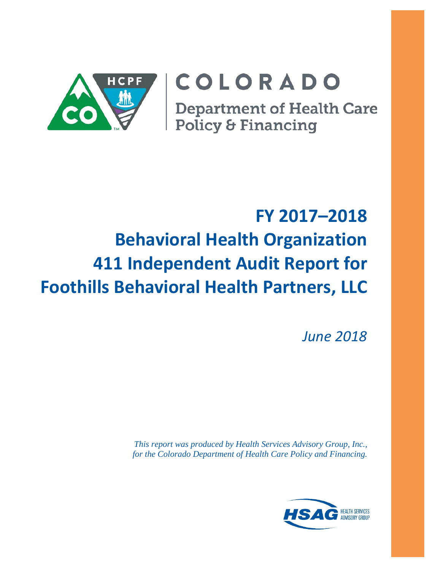

# COLORADO

**Department of Health Care** Policy & Financing

# **FY 2017–2018 Behavioral Health Organization 411 Independent Audit Report for Foothills Behavioral Health Partners, LLC**

*June 2018*

*This report was produced by Health Services Advisory Group, Inc., for the Colorado Department of Health Care Policy and Financing.*

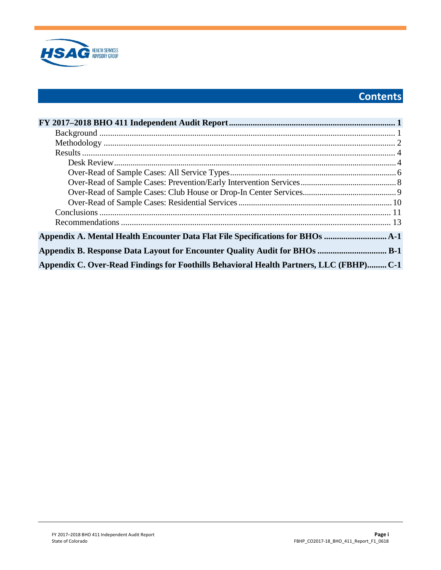

# **Contents**

| Appendix A. Mental Health Encounter Data Flat File Specifications for BHOs             |  |
|----------------------------------------------------------------------------------------|--|
|                                                                                        |  |
| Appendix C. Over-Read Findings for Foothills Behavioral Health Partners, LLC (FBHP)C-1 |  |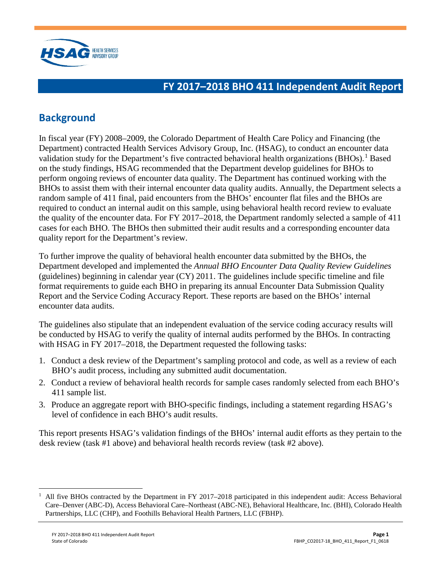

## <span id="page-2-0"></span>**FY 2017–2018 BHO 411 Independent Audit Report**

# <span id="page-2-1"></span>**Background**

In fiscal year (FY) 2008–2009, the Colorado Department of Health Care Policy and Financing (the Department) contracted Health Services Advisory Group, Inc. (HSAG), to conduct an encounter data validation study for the Department's five contracted behavioral health organizations  $(BHOs)$ .<sup>[1](#page-2-2)</sup> Based on the study findings, HSAG recommended that the Department develop guidelines for BHOs to perform ongoing reviews of encounter data quality. The Department has continued working with the BHOs to assist them with their internal encounter data quality audits. Annually, the Department selects a random sample of 411 final, paid encounters from the BHOs' encounter flat files and the BHOs are required to conduct an internal audit on this sample, using behavioral health record review to evaluate the quality of the encounter data. For FY 2017–2018, the Department randomly selected a sample of 411 cases for each BHO. The BHOs then submitted their audit results and a corresponding encounter data quality report for the Department's review.

To further improve the quality of behavioral health encounter data submitted by the BHOs, the Department developed and implemented the *Annual BHO Encounter Data Quality Review Guidelines* (guidelines) beginning in calendar year  $(CY)$  2011. The guidelines include specific timeline and file format requirements to guide each BHO in preparing its annual Encounter Data Submission Quality Report and the Service Coding Accuracy Report. These reports are based on the BHOs' internal encounter data audits.

The guidelines also stipulate that an independent evaluation of the service coding accuracy results will be conducted by HSAG to verify the quality of internal audits performed by the BHOs. In contracting with HSAG in FY 2017–2018, the Department requested the following tasks:

- 1. Conduct a desk review of the Department's sampling protocol and code, as well as a review of each BHO's audit process, including any submitted audit documentation.
- 2. Conduct a review of behavioral health records for sample cases randomly selected from each BHO's 411 sample list.
- 3. Produce an aggregate report with BHO-specific findings, including a statement regarding HSAG's level of confidence in each BHO's audit results.

This report presents HSAG's validation findings of the BHOs' internal audit efforts as they pertain to the desk review (task #1 above) and behavioral health records review (task #2 above).

<span id="page-2-2"></span> $1$  All five BHOs contracted by the Department in FY 2017–2018 participated in this independent audit: Access Behavioral Care–Denver (ABC-D), Access Behavioral Care–Northeast (ABC-NE), Behavioral Healthcare, Inc. (BHI), Colorado Health Partnerships, LLC (CHP), and Foothills Behavioral Health Partners, LLC (FBHP).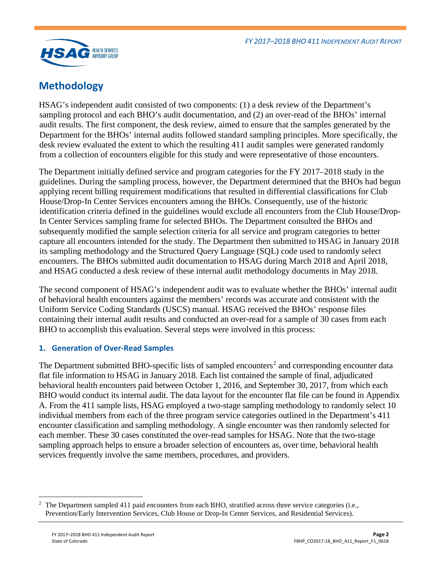

## <span id="page-3-0"></span>**Methodology**

HSAG's independent audit consisted of two components: (1) a desk review of the Department's sampling protocol and each BHO's audit documentation, and (2) an over-read of the BHOs' internal audit results. The first component, the desk review, aimed to ensure that the samples generated by the Department for the BHOs' internal audits followed standard sampling principles. More specifically, the desk review evaluated the extent to which the resulting 411 audit samples were generated randomly from a collection of encounters eligible for this study and were representative of those encounters.

The Department initially defined service and program categories for the FY 2017–2018 study in the guidelines. During the sampling process, however, the Department determined that the BHOs had begun applying recent billing requirement modifications that resulted in differential classifications for Club House/Drop-In Center Services encounters among the BHOs. Consequently, use of the historic identification criteria defined in the guidelines would exclude all encounters from the Club House/Drop-In Center Services sampling frame for selected BHOs. The Department consulted the BHOs and subsequently modified the sample selection criteria for all service and program categories to better capture all encounters intended for the study. The Department then submitted to HSAG in January 2018 its sampling methodology and the Structured Query Language (SQL) code used to randomly select encounters. The BHOs submitted audit documentation to HSAG during March 2018 and April 2018, and HSAG conducted a desk review of these internal audit methodology documents in May 2018.

The second component of HSAG's independent audit was to evaluate whether the BHOs' internal audit of behavioral health encounters against the members' records was accurate and consistent with the Uniform Service Coding Standards (USCS) manual. HSAG received the BHOs' response files containing their internal audit results and conducted an over-read for a sample of 30 cases from each BHO to accomplish this evaluation. Several steps were involved in this process:

#### **1. Generation of Over-Read Samples**

The Department submitted BHO-specific lists of sampled encounters<sup>[2](#page-3-1)</sup> and corresponding encounter data flat file information to HSAG in January 2018. Each list contained the sample of final, adjudicated behavioral health encounters paid between October 1, 2016, and September 30, 2017, from which each BHO would conduct its internal audit. The data layout for the encounter flat file can be found in Appendix A. From the 411 sample lists, HSAG employed a two-stage sampling methodology to randomly select 10 individual members from each of the three program service categories outlined in the Department's 411 encounter classification and sampling methodology. A single encounter was then randomly selected for each member. These 30 cases constituted the over-read samples for HSAG. Note that the two-stage sampling approach helps to ensure a broader selection of encounters as, over time, behavioral health services frequently involve the same members, procedures, and providers.

<span id="page-3-1"></span> $\overline{a}$ 2 The Department sampled 411 paid encounters from each BHO, stratified across three service categories (i.e., Prevention/Early Intervention Services, Club House or Drop-In Center Services, and Residential Services).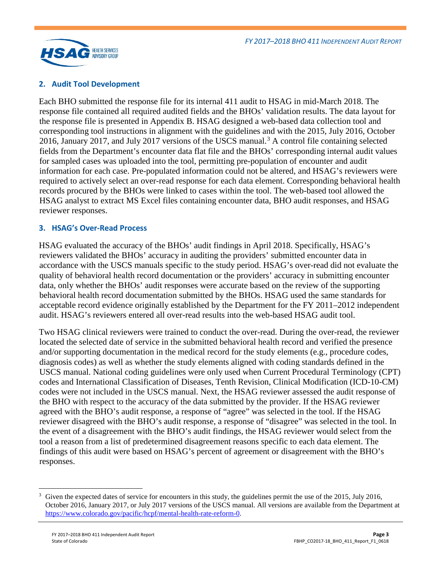

### **2. Audit Tool Development**

Each BHO submitted the response file for its internal 411 audit to HSAG in mid-March 2018. The response file contained all required audited fields and the BHOs' validation results. The data layout for the response file is presented in Appendix B. HSAG designed a web-based data collection tool and corresponding tool instructions in alignment with the guidelines and with the 2015, July 2016, October 2016, January 2017, and July 2017 versions of the USCS manual.<sup>[3](#page-4-0)</sup> A control file containing selected fields from the Department's encounter data flat file and the BHOs' corresponding internal audit values for sampled cases was uploaded into the tool, permitting pre-population of encounter and audit information for each case. Pre-populated information could not be altered, and HSAG's reviewers were required to actively select an over-read response for each data element. Corresponding behavioral health records procured by the BHOs were linked to cases within the tool. The web-based tool allowed the HSAG analyst to extract MS Excel files containing encounter data, BHO audit responses, and HSAG reviewer responses.

#### **3. HSAG's Over-Read Process**

HSAG evaluated the accuracy of the BHOs' audit findings in April 2018. Specifically, HSAG's reviewers validated the BHOs' accuracy in auditing the providers' submitted encounter data in accordance with the USCS manuals specific to the study period. HSAG's over-read did not evaluate the quality of behavioral health record documentation or the providers' accuracy in submitting encounter data, only whether the BHOs' audit responses were accurate based on the review of the supporting behavioral health record documentation submitted by the BHOs. HSAG used the same standards for acceptable record evidence originally established by the Department for the FY 2011–2012 independent audit. HSAG's reviewers entered all over-read results into the web-based HSAG audit tool.

Two HSAG clinical reviewers were trained to conduct the over-read. During the over-read, the reviewer located the selected date of service in the submitted behavioral health record and verified the presence and/or supporting documentation in the medical record for the study elements (e.g., procedure codes, diagnosis codes) as well as whether the study elements aligned with coding standards defined in the USCS manual. National coding guidelines were only used when Current Procedural Terminology (CPT) codes and International Classification of Diseases, Tenth Revision, Clinical Modification (ICD-10-CM) codes were not included in the USCS manual. Next, the HSAG reviewer assessed the audit response of the BHO with respect to the accuracy of the data submitted by the provider. If the HSAG reviewer agreed with the BHO's audit response, a response of "agree" was selected in the tool. If the HSAG reviewer disagreed with the BHO's audit response, a response of "disagree" was selected in the tool. In the event of a disagreement with the BHO's audit findings, the HSAG reviewer would select from the tool a reason from a list of predetermined disagreement reasons specific to each data element. The findings of this audit were based on HSAG's percent of agreement or disagreement with the BHO's responses.

<span id="page-4-0"></span><sup>&</sup>lt;sup>3</sup> Given the expected dates of service for encounters in this study, the guidelines permit the use of the 2015, July 2016, October 2016, January 2017, or July 2017 versions of the USCS manual. All versions are available from the Department at [https://www.colorado.gov/pacific/hcpf/mental-health-rate-reform-0.](https://www.colorado.gov/pacific/hcpf/mental-health-rate-reform-0)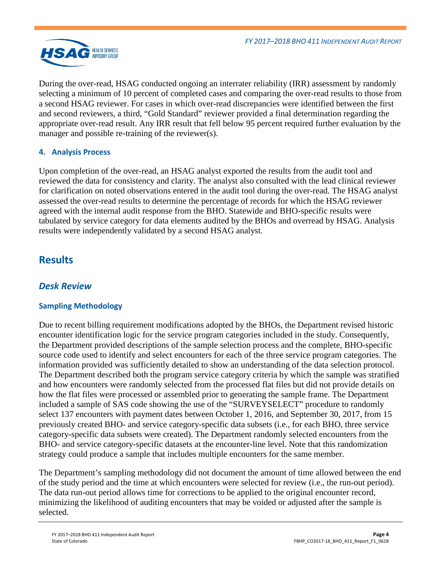

During the over-read, HSAG conducted ongoing an interrater reliability (IRR) assessment by randomly selecting a minimum of 10 percent of completed cases and comparing the over-read results to those from a second HSAG reviewer. For cases in which over-read discrepancies were identified between the first and second reviewers, a third, "Gold Standard" reviewer provided a final determination regarding the appropriate over-read result. Any IRR result that fell below 95 percent required further evaluation by the manager and possible re-training of the reviewer(s).

## **4. Analysis Process**

Upon completion of the over-read, an HSAG analyst exported the results from the audit tool and reviewed the data for consistency and clarity. The analyst also consulted with the lead clinical reviewer for clarification on noted observations entered in the audit tool during the over-read. The HSAG analyst assessed the over-read results to determine the percentage of records for which the HSAG reviewer agreed with the internal audit response from the BHO. Statewide and BHO-specific results were tabulated by service category for data elements audited by the BHOs and overread by HSAG. Analysis results were independently validated by a second HSAG analyst.

## <span id="page-5-0"></span>**Results**

## <span id="page-5-1"></span>*Desk Review*

## **Sampling Methodology**

Due to recent billing requirement modifications adopted by the BHOs, the Department revised historic encounter identification logic for the service program categories included in the study. Consequently, the Department provided descriptions of the sample selection process and the complete, BHO-specific source code used to identify and select encounters for each of the three service program categories. The information provided was sufficiently detailed to show an understanding of the data selection protocol. The Department described both the program service category criteria by which the sample was stratified and how encounters were randomly selected from the processed flat files but did not provide details on how the flat files were processed or assembled prior to generating the sample frame. The Department included a sample of SAS code showing the use of the "SURVEYSELECT" procedure to randomly select 137 encounters with payment dates between October 1, 2016, and September 30, 2017, from 15 previously created BHO- and service category-specific data subsets (i.e., for each BHO, three service category-specific data subsets were created). The Department randomly selected encounters from the BHO- and service category-specific datasets at the encounter-line level. Note that this randomization strategy could produce a sample that includes multiple encounters for the same member.

The Department's sampling methodology did not document the amount of time allowed between the end of the study period and the time at which encounters were selected for review (i.e., the run-out period). The data run-out period allows time for corrections to be applied to the original encounter record, minimizing the likelihood of auditing encounters that may be voided or adjusted after the sample is selected.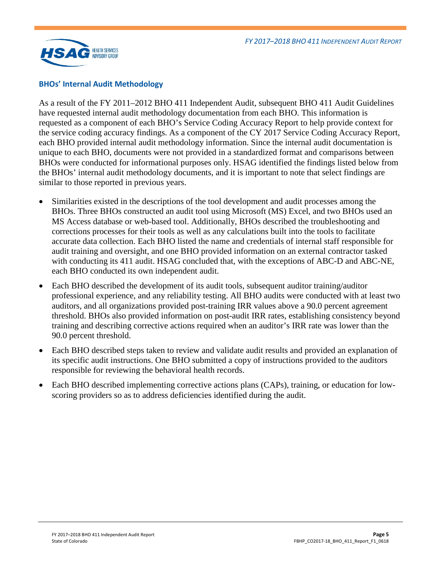

#### **BHOs' Internal Audit Methodology**

As a result of the FY 2011–2012 BHO 411 Independent Audit, subsequent BHO 411 Audit Guidelines have requested internal audit methodology documentation from each BHO. This information is requested as a component of each BHO's Service Coding Accuracy Report to help provide context for the service coding accuracy findings. As a component of the CY 2017 Service Coding Accuracy Report, each BHO provided internal audit methodology information. Since the internal audit documentation is unique to each BHO, documents were not provided in a standardized format and comparisons between BHOs were conducted for informational purposes only. HSAG identified the findings listed below from the BHOs' internal audit methodology documents, and it is important to note that select findings are similar to those reported in previous years.

- Similarities existed in the descriptions of the tool development and audit processes among the BHOs. Three BHOs constructed an audit tool using Microsoft (MS) Excel, and two BHOs used an MS Access database or web-based tool. Additionally, BHOs described the troubleshooting and corrections processes for their tools as well as any calculations built into the tools to facilitate accurate data collection. Each BHO listed the name and credentials of internal staff responsible for audit training and oversight, and one BHO provided information on an external contractor tasked with conducting its 411 audit. HSAG concluded that, with the exceptions of ABC-D and ABC-NE, each BHO conducted its own independent audit.
- Each BHO described the development of its audit tools, subsequent auditor training/auditor professional experience, and any reliability testing. All BHO audits were conducted with at least two auditors, and all organizations provided post-training IRR values above a 90.0 percent agreement threshold. BHOs also provided information on post-audit IRR rates, establishing consistency beyond training and describing corrective actions required when an auditor's IRR rate was lower than the 90.0 percent threshold.
- Each BHO described steps taken to review and validate audit results and provided an explanation of its specific audit instructions. One BHO submitted a copy of instructions provided to the auditors responsible for reviewing the behavioral health records.
- Each BHO described implementing corrective actions plans (CAPs), training, or education for lowscoring providers so as to address deficiencies identified during the audit.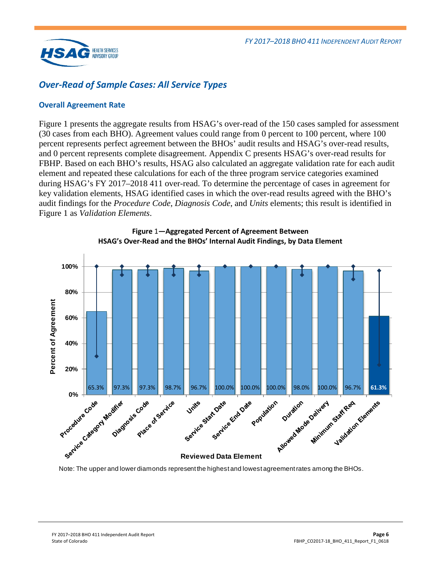

## <span id="page-7-0"></span>*Over-Read of Sample Cases: All Service Types*

### **Overall Agreement Rate**

[Figure 1](#page-7-1) presents the aggregate results from HSAG's over-read of the 150 cases sampled for assessment (30 cases from each BHO). Agreement values could range from 0 percent to 100 percent, where 100 percent represents perfect agreement between the BHOs' audit results and HSAG's over-read results, and 0 percent represents complete disagreement. Appendix C presents HSAG's over-read results for FBHP. Based on each BHO's results, HSAG also calculated an aggregate validation rate for each audit element and repeated these calculations for each of the three program service categories examined during HSAG's FY 2017–2018 411 over-read. To determine the percentage of cases in agreement for key validation elements, HSAG identified cases in which the over-read results agreed with the BHO's audit findings for the *Procedure Code*, *Diagnosis Code*, and *Units* elements; this result is identified in [Figure 1](#page-7-1) as *Validation Elements*.

<span id="page-7-1"></span>



Note: The upper and lower diamonds represent the highest and lowest agreement rates among the BHOs.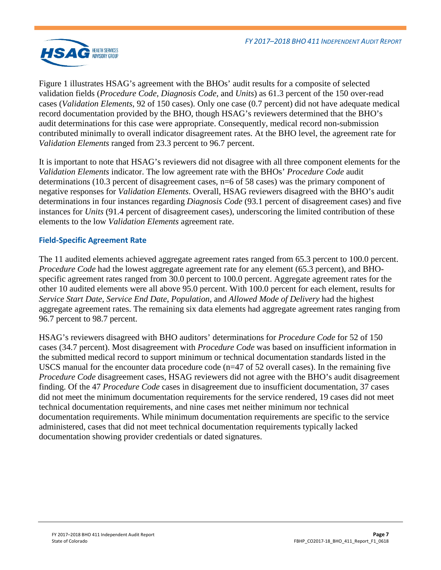

[Figure 1](#page-7-1) illustrates HSAG's agreement with the BHOs' audit results for a composite of selected validation fields (*Procedure Code*, *Diagnosis Code*, and *Units*) as 61.3 percent of the 150 over-read cases (*Validation Elements*, 92 of 150 cases). Only one case (0.7 percent) did not have adequate medical record documentation provided by the BHO, though HSAG's reviewers determined that the BHO's audit determinations for this case were appropriate. Consequently, medical record non-submission contributed minimally to overall indicator disagreement rates. At the BHO level, the agreement rate for *Validation Elements* ranged from 23.3 percent to 96.7 percent.

It is important to note that HSAG's reviewers did not disagree with all three component elements for the *Validation Elements* indicator. The low agreement rate with the BHOs' *Procedure Code* audit determinations (10.3 percent of disagreement cases, n=6 of 58 cases) was the primary component of negative responses for *Validation Elements*. Overall, HSAG reviewers disagreed with the BHO's audit determinations in four instances regarding *Diagnosis Code* (93.1 percent of disagreement cases) and five instances for *Units* (91.4 percent of disagreement cases), underscoring the limited contribution of these elements to the low *Validation Elements* agreement rate.

### **Field-Specific Agreement Rate**

The 11 audited elements achieved aggregate agreement rates ranged from 65.3 percent to 100.0 percent. *Procedure Code* had the lowest aggregate agreement rate for any element (65.3 percent), and BHOspecific agreement rates ranged from 30.0 percent to 100.0 percent. Aggregate agreement rates for the other 10 audited elements were all above 95.0 percent. With 100.0 percent for each element, results for *Service Start Date*, *Service End Date*, *Population,* and *Allowed Mode of Delivery* had the highest aggregate agreement rates. The remaining six data elements had aggregate agreement rates ranging from 96.7 percent to 98.7 percent.

HSAG's reviewers disagreed with BHO auditors' determinations for *Procedure Code* for 52 of 150 cases (34.7 percent). Most disagreement with *Procedure Code* was based on insufficient information in the submitted medical record to support minimum or technical documentation standards listed in the USCS manual for the encounter data procedure code ( $n=47$  of 52 overall cases). In the remaining five *Procedure Code* disagreement cases, HSAG reviewers did not agree with the BHO's audit disagreement finding. Of the 47 *Procedure Code* cases in disagreement due to insufficient documentation, 37 cases did not meet the minimum documentation requirements for the service rendered, 19 cases did not meet technical documentation requirements, and nine cases met neither minimum nor technical documentation requirements. While minimum documentation requirements are specific to the service administered, cases that did not meet technical documentation requirements typically lacked documentation showing provider credentials or dated signatures.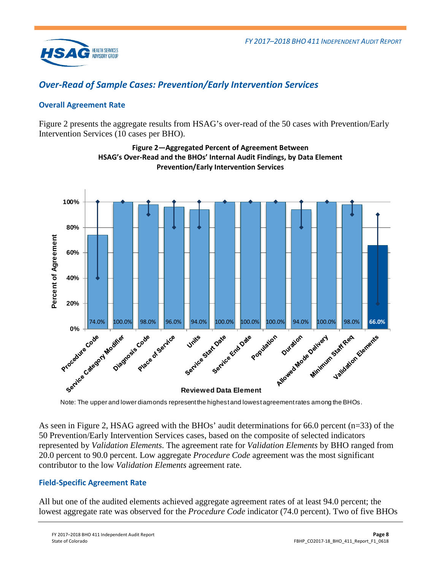

## <span id="page-9-0"></span>*Over-Read of Sample Cases: Prevention/Early Intervention Services*

## **Overall Agreement Rate**

<span id="page-9-1"></span>[Figure 2](#page-9-1) presents the aggregate results from HSAG's over-read of the 50 cases with Prevention/Early Intervention Services (10 cases per BHO).



**Figure 2—Aggregated Percent of Agreement Between HSAG's Over-Read and the BHOs' Internal Audit Findings, by Data Element Prevention/Early Intervention Services**

Note: The upper and lower diamonds represent the highest and lowest agreement rates among the BHOs.

As seen in [Figure 2,](#page-9-1) HSAG agreed with the BHOs' audit determinations for 66.0 percent (n=33) of the 50 Prevention/Early Intervention Services cases, based on the composite of selected indicators represented by *Validation Elements*. The agreement rate for *Validation Elements* by BHO ranged from 20.0 percent to 90.0 percent. Low aggregate *Procedure Code* agreement was the most significant contributor to the low *Validation Elements* agreement rate.

## **Field-Specific Agreement Rate**

All but one of the audited elements achieved aggregate agreement rates of at least 94.0 percent; the lowest aggregate rate was observed for the *Procedure Code* indicator (74.0 percent). Two of five BHOs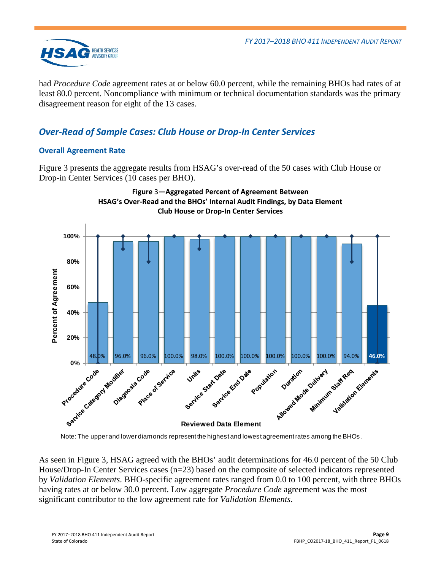

had *Procedure Code* agreement rates at or below 60.0 percent, while the remaining BHOs had rates of at least 80.0 percent. Noncompliance with minimum or technical documentation standards was the primary disagreement reason for eight of the 13 cases.

## <span id="page-10-0"></span>*Over-Read of Sample Cases: Club House or Drop-In Center Services*

## **Overall Agreement Rate**

[Figure 3](#page-10-1) presents the aggregate results from HSAG's over-read of the 50 cases with Club House or Drop-in Center Services (10 cases per BHO).

<span id="page-10-1"></span>

Note: The upper and lower diamonds represent the highest and lowest agreement rates among the BHOs.

As seen in [Figure 3,](#page-10-1) HSAG agreed with the BHOs' audit determinations for 46.0 percent of the 50 Club House/Drop-In Center Services cases (n=23) based on the composite of selected indicators represented by *Validation Elements*. BHO-specific agreement rates ranged from 0.0 to 100 percent, with three BHOs having rates at or below 30.0 percent. Low aggregate *Procedure Code* agreement was the most significant contributor to the low agreement rate for *Validation Elements*.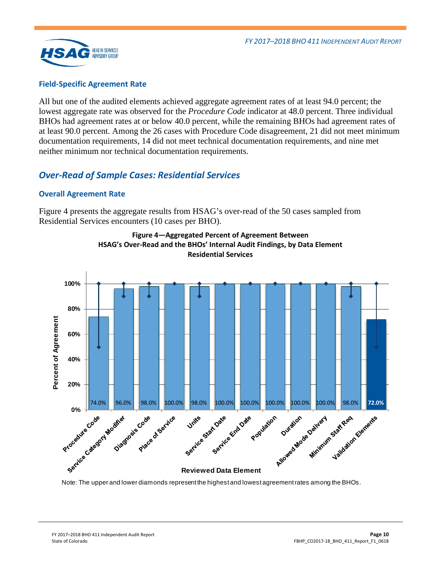

#### **Field-Specific Agreement Rate**

All but one of the audited elements achieved aggregate agreement rates of at least 94.0 percent; the lowest aggregate rate was observed for the *Procedure Code* indicator at 48.0 percent. Three individual BHOs had agreement rates at or below 40.0 percent, while the remaining BHOs had agreement rates of at least 90.0 percent. Among the 26 cases with Procedure Code disagreement, 21 did not meet minimum documentation requirements, 14 did not meet technical documentation requirements, and nine met neither minimum nor technical documentation requirements.

## <span id="page-11-0"></span>*Over-Read of Sample Cases: Residential Services*

#### **Overall Agreement Rate**

<span id="page-11-1"></span>[Figure 4](#page-11-1) presents the aggregate results from HSAG's over-read of the 50 cases sampled from Residential Services encounters (10 cases per BHO).





Note: The upper and lower diamonds represent the highest and lowest agreement rates among the BHOs.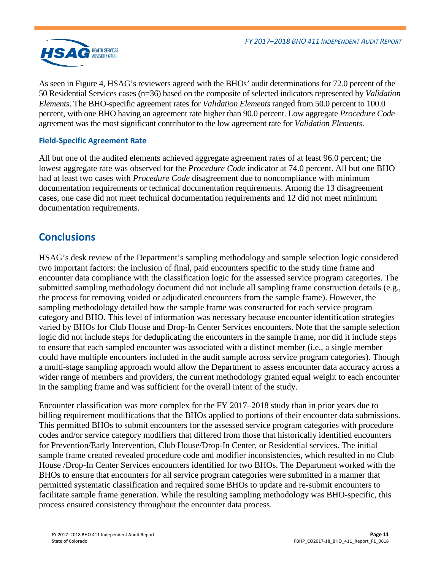

As seen in [Figure 4,](#page-11-1) HSAG's reviewers agreed with the BHOs' audit determinations for 72.0 percent of the 50 Residential Services cases (n=36) based on the composite of selected indicators represented by *Validation Elements*. The BHO-specific agreement rates for *Validation Elements* ranged from 50.0 percent to 100.0 percent, with one BHO having an agreement rate higher than 90.0 percent. Low aggregate *Procedure Code* agreement was the most significant contributor to the low agreement rate for *Validation Elements*.

## **Field-Specific Agreement Rate**

All but one of the audited elements achieved aggregate agreement rates of at least 96.0 percent; the lowest aggregate rate was observed for the *Procedure Code* indicator at 74.0 percent. All but one BHO had at least two cases with *Procedure Code* disagreement due to noncompliance with minimum documentation requirements or technical documentation requirements. Among the 13 disagreement cases, one case did not meet technical documentation requirements and 12 did not meet minimum documentation requirements.

## <span id="page-12-0"></span>**Conclusions**

HSAG's desk review of the Department's sampling methodology and sample selection logic considered two important factors: the inclusion of final, paid encounters specific to the study time frame and encounter data compliance with the classification logic for the assessed service program categories. The submitted sampling methodology document did not include all sampling frame construction details (e.g., the process for removing voided or adjudicated encounters from the sample frame). However, the sampling methodology detailed how the sample frame was constructed for each service program category and BHO. This level of information was necessary because encounter identification strategies varied by BHOs for Club House and Drop-In Center Services encounters. Note that the sample selection logic did not include steps for deduplicating the encounters in the sample frame, nor did it include steps to ensure that each sampled encounter was associated with a distinct member (i.e., a single member could have multiple encounters included in the audit sample across service program categories). Though a multi-stage sampling approach would allow the Department to assess encounter data accuracy across a wider range of members and providers, the current methodology granted equal weight to each encounter in the sampling frame and was sufficient for the overall intent of the study.

Encounter classification was more complex for the FY 2017–2018 study than in prior years due to billing requirement modifications that the BHOs applied to portions of their encounter data submissions. This permitted BHOs to submit encounters for the assessed service program categories with procedure codes and/or service category modifiers that differed from those that historically identified encounters for Prevention/Early Intervention, Club House/Drop-In Center, or Residential services. The initial sample frame created revealed procedure code and modifier inconsistencies, which resulted in no Club House /Drop-In Center Services encounters identified for two BHOs. The Department worked with the BHOs to ensure that encounters for all service program categories were submitted in a manner that permitted systematic classification and required some BHOs to update and re-submit encounters to facilitate sample frame generation. While the resulting sampling methodology was BHO-specific, this process ensured consistency throughout the encounter data process.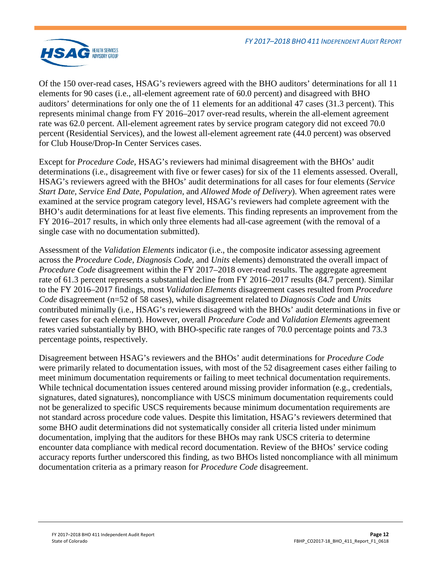

Of the 150 over-read cases, HSAG's reviewers agreed with the BHO auditors' determinations for all 11 elements for 90 cases (i.e., all-element agreement rate of 60.0 percent) and disagreed with BHO auditors' determinations for only one the of 11 elements for an additional 47 cases (31.3 percent). This represents minimal change from FY 2016–2017 over-read results, wherein the all-element agreement rate was 62.0 percent. All-element agreement rates by service program category did not exceed 70.0 percent (Residential Services), and the lowest all-element agreement rate (44.0 percent) was observed for Club House/Drop-In Center Services cases.

Except for *Procedure Code*, HSAG's reviewers had minimal disagreement with the BHOs' audit determinations (i.e., disagreement with five or fewer cases) for six of the 11 elements assessed. Overall, HSAG's reviewers agreed with the BHOs' audit determinations for all cases for four elements (*Service Start Date*, *Service End Date*, *Population*, and *Allowed Mode of Delivery*). When agreement rates were examined at the service program category level, HSAG's reviewers had complete agreement with the BHO's audit determinations for at least five elements. This finding represents an improvement from the FY 2016–2017 results, in which only three elements had all-case agreement (with the removal of a single case with no documentation submitted).

Assessment of the *Validation Elements* indicator (i.e., the composite indicator assessing agreement across the *Procedure Code*, *Diagnosis Code*, and *Units* elements) demonstrated the overall impact of *Procedure Code* disagreement within the FY 2017–2018 over-read results. The aggregate agreement rate of 61.3 percent represents a substantial decline from FY 2016–2017 results (84.7 percent). Similar to the FY 2016–2017 findings, most *Validation Elements* disagreement cases resulted from *Procedure Code* disagreement (n=52 of 58 cases), while disagreement related to *Diagnosis Code* and *Units* contributed minimally (i.e., HSAG's reviewers disagreed with the BHOs' audit determinations in five or fewer cases for each element). However, overall *Procedure Code* and *Validation Elements* agreement rates varied substantially by BHO, with BHO-specific rate ranges of 70.0 percentage points and 73.3 percentage points, respectively.

Disagreement between HSAG's reviewers and the BHOs' audit determinations for *Procedure Code* were primarily related to documentation issues, with most of the 52 disagreement cases either failing to meet minimum documentation requirements or failing to meet technical documentation requirements. While technical documentation issues centered around missing provider information (e.g., credentials, signatures, dated signatures), noncompliance with USCS minimum documentation requirements could not be generalized to specific USCS requirements because minimum documentation requirements are not standard across procedure code values. Despite this limitation, HSAG's reviewers determined that some BHO audit determinations did not systematically consider all criteria listed under minimum documentation, implying that the auditors for these BHOs may rank USCS criteria to determine encounter data compliance with medical record documentation. Review of the BHOs' service coding accuracy reports further underscored this finding, as two BHOs listed noncompliance with all minimum documentation criteria as a primary reason for *Procedure Code* disagreement.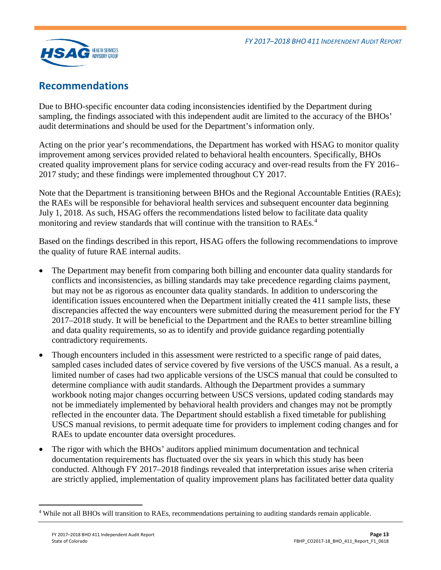

## <span id="page-14-0"></span>**Recommendations**

Due to BHO-specific encounter data coding inconsistencies identified by the Department during sampling, the findings associated with this independent audit are limited to the accuracy of the BHOs' audit determinations and should be used for the Department's information only.

Acting on the prior year's recommendations, the Department has worked with HSAG to monitor quality improvement among services provided related to behavioral health encounters. Specifically, BHOs created quality improvement plans for service coding accuracy and over-read results from the FY 2016– 2017 study; and these findings were implemented throughout CY 2017.

Note that the Department is transitioning between BHOs and the Regional Accountable Entities (RAEs); the RAEs will be responsible for behavioral health services and subsequent encounter data beginning July 1, 2018. As such, HSAG offers the recommendations listed below to facilitate data quality monitoring and review standards that will continue with the transition to RAEs.<sup>[4](#page-14-1)</sup>

Based on the findings described in this report, HSAG offers the following recommendations to improve the quality of future RAE internal audits.

- The Department may benefit from comparing both billing and encounter data quality standards for conflicts and inconsistencies, as billing standards may take precedence regarding claims payment, but may not be as rigorous as encounter data quality standards. In addition to underscoring the identification issues encountered when the Department initially created the 411 sample lists, these discrepancies affected the way encounters were submitted during the measurement period for the FY 2017–2018 study. It will be beneficial to the Department and the RAEs to better streamline billing and data quality requirements, so as to identify and provide guidance regarding potentially contradictory requirements.
- Though encounters included in this assessment were restricted to a specific range of paid dates, sampled cases included dates of service covered by five versions of the USCS manual. As a result, a limited number of cases had two applicable versions of the USCS manual that could be consulted to determine compliance with audit standards. Although the Department provides a summary workbook noting major changes occurring between USCS versions, updated coding standards may not be immediately implemented by behavioral health providers and changes may not be promptly reflected in the encounter data. The Department should establish a fixed timetable for publishing USCS manual revisions, to permit adequate time for providers to implement coding changes and for RAEs to update encounter data oversight procedures.
- The rigor with which the BHOs' auditors applied minimum documentation and technical documentation requirements has fluctuated over the six years in which this study has been conducted. Although FY 2017–2018 findings revealed that interpretation issues arise when criteria are strictly applied, implementation of quality improvement plans has facilitated better data quality

<span id="page-14-1"></span> <sup>4</sup> While not all BHOs will transition to RAEs, recommendations pertaining to auditing standards remain applicable.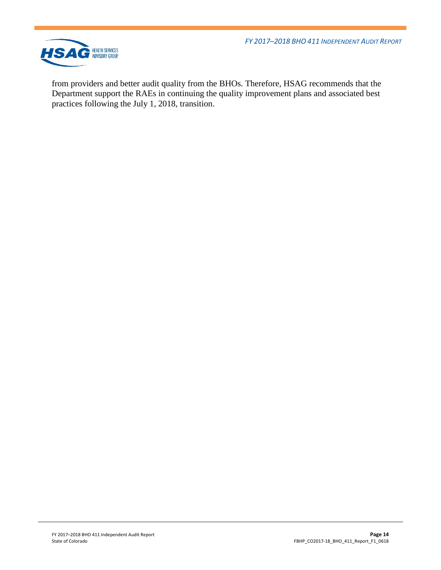*FY 2017–2018 BHO 411 INDEPENDENT AUDIT REPORT*



from providers and better audit quality from the BHOs. Therefore, HSAG recommends that the Department support the RAEs in continuing the quality improvement plans and associated best practices following the July 1, 2018, transition.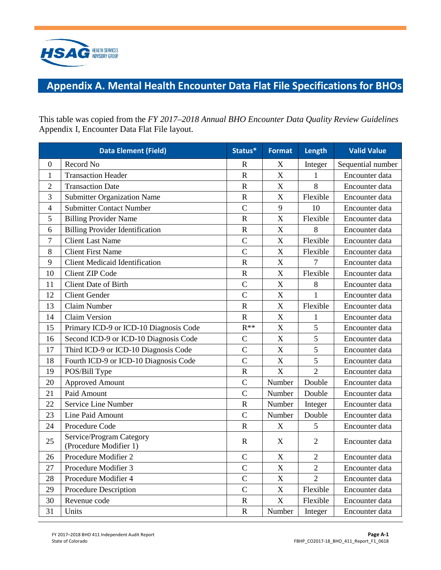

# <span id="page-16-0"></span>**Appendix A. Mental Health Encounter Data Flat File Specifications for BHOs**

This table was copied from the *FY 2017–2018 Annual BHO Encounter Data Quality Review Guidelines*  Appendix I, Encounter Data Flat File layout.

|                  | <b>Data Element (Field)</b>                        | Status*               | <b>Format</b>             | Length         | <b>Valid Value</b> |
|------------------|----------------------------------------------------|-----------------------|---------------------------|----------------|--------------------|
| $\boldsymbol{0}$ | Record No                                          | R                     | $\boldsymbol{X}$          | Integer        | Sequential number  |
| $\mathbf{1}$     | <b>Transaction Header</b>                          | $\mathbf R$           | X                         | $\mathbf{1}$   | Encounter data     |
| $\overline{2}$   | <b>Transaction Date</b>                            | ${\bf R}$             | $\mathbf X$               | 8              | Encounter data     |
| 3                | <b>Submitter Organization Name</b>                 | $\mathbf R$           | $\mathbf X$               | Flexible       | Encounter data     |
| $\overline{4}$   | <b>Submitter Contact Number</b>                    | $\overline{C}$        | 9                         | 10             | Encounter data     |
| 5                | <b>Billing Provider Name</b>                       | $\mathbf R$           | X                         | Flexible       | Encounter data     |
| 6                | <b>Billing Provider Identification</b>             | $\mathbf R$           | $\boldsymbol{\mathrm{X}}$ | 8              | Encounter data     |
| 7                | <b>Client Last Name</b>                            | $\mathcal{C}$         | X                         | Flexible       | Encounter data     |
| 8                | <b>Client First Name</b>                           | $\overline{C}$        | $\overline{X}$            | Flexible       | Encounter data     |
| 9                | <b>Client Medicaid Identification</b>              | $\mathbf R$           | $\mathbf X$               | 7              | Encounter data     |
| 10               | <b>Client ZIP Code</b>                             | $\mathbf R$           | $\overline{X}$            | Flexible       | Encounter data     |
| 11               | <b>Client Date of Birth</b>                        | $\overline{C}$        | $\overline{X}$            | 8              | Encounter data     |
| 12               | <b>Client Gender</b>                               | $\overline{C}$        | $\boldsymbol{\mathrm{X}}$ | $\mathbf{1}$   | Encounter data     |
| 13               | Claim Number                                       | $\mathbf R$           | $\mathbf X$               | Flexible       | Encounter data     |
| 14               | Claim Version                                      | ${\bf R}$             | $\bar{X}$                 | 1              | Encounter data     |
| 15               | Primary ICD-9 or ICD-10 Diagnosis Code             | $R^{**}$              | $\boldsymbol{\mathrm{X}}$ | 5              | Encounter data     |
| 16               | Second ICD-9 or ICD-10 Diagnosis Code              | $\mathsf{C}$          | $\boldsymbol{\mathrm{X}}$ | 5              | Encounter data     |
| 17               | Third ICD-9 or ICD-10 Diagnosis Code               | $\overline{C}$        | X                         | $\overline{5}$ | Encounter data     |
| 18               | Fourth ICD-9 or ICD-10 Diagnosis Code              | $\overline{C}$        | $\mathbf X$               | 5              | Encounter data     |
| 19               | POS/Bill Type                                      | $\mathbf R$           | X                         | $\overline{2}$ | Encounter data     |
| 20               | <b>Approved Amount</b>                             | $\mathcal{C}$         | Number                    | Double         | Encounter data     |
| 21               | Paid Amount                                        | $\mathcal{C}$         | Number                    | Double         | Encounter data     |
| 22               | Service Line Number                                | $\mathbf R$           | Number                    | Integer        | Encounter data     |
| 23               | Line Paid Amount                                   | $\overline{C}$        | Number                    | Double         | Encounter data     |
| 24               | Procedure Code                                     | $\mathbf R$           | X                         | 5              | Encounter data     |
| 25               | Service/Program Category<br>(Procedure Modifier 1) | $\mathbf R$           | X                         | $\overline{2}$ | Encounter data     |
| 26               | Procedure Modifier 2                               | $\overline{C}$        | $\mathbf X$               | $\overline{2}$ | Encounter data     |
| 27               | Procedure Modifier 3                               | $\overline{C}$        | X                         | $\overline{2}$ | Encounter data     |
| 28               | Procedure Modifier 4                               | $\mathcal{C}$         | X                         | $\overline{2}$ | Encounter data     |
| 29               | Procedure Description                              | $\overline{C}$        | X                         | Flexible       | Encounter data     |
| 30               | Revenue code                                       | $\mathbf R$           | $\boldsymbol{\mathrm{X}}$ | Flexible       | Encounter data     |
| 31               | Units                                              | $\overline{\text{R}}$ | Number                    | Integer        | Encounter data     |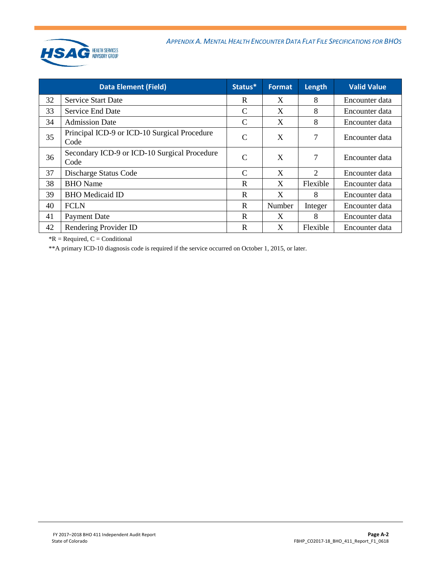

| <b>Data Element (Field)</b> |                                                      | Status*       | <b>Format</b> | Length                      | <b>Valid Value</b> |
|-----------------------------|------------------------------------------------------|---------------|---------------|-----------------------------|--------------------|
| 32                          | <b>Service Start Date</b>                            | R             | X             | 8                           | Encounter data     |
| 33                          | <b>Service End Date</b>                              | C             | X             | 8                           | Encounter data     |
| 34                          | <b>Admission Date</b>                                | C             | X             | 8                           | Encounter data     |
| 35                          | Principal ICD-9 or ICD-10 Surgical Procedure<br>Code | $\mathcal{C}$ | X             | 7                           | Encounter data     |
| 36                          | Secondary ICD-9 or ICD-10 Surgical Procedure<br>Code | $\mathcal{C}$ | X             | 7                           | Encounter data     |
| 37                          | Discharge Status Code                                | $\mathcal{C}$ | X             | $\mathcal{D}_{\mathcal{L}}$ | Encounter data     |
| 38                          | <b>BHO</b> Name                                      | $\mathbf R$   | X             | Flexible                    | Encounter data     |
| 39                          | <b>BHO</b> Medicaid ID                               | $\mathbf R$   | X             | 8                           | Encounter data     |
| 40                          | <b>FCLN</b>                                          | R             | Number        | Integer                     | Encounter data     |
| 41                          | <b>Payment Date</b>                                  | R             | X             | 8                           | Encounter data     |
| 42                          | Rendering Provider ID                                | R             | X             | Flexible                    | Encounter data     |

 $*R$  = Required,  $C$  = Conditional

\*\*A primary ICD-10 diagnosis code is required if the service occurred on October 1, 2015, or later.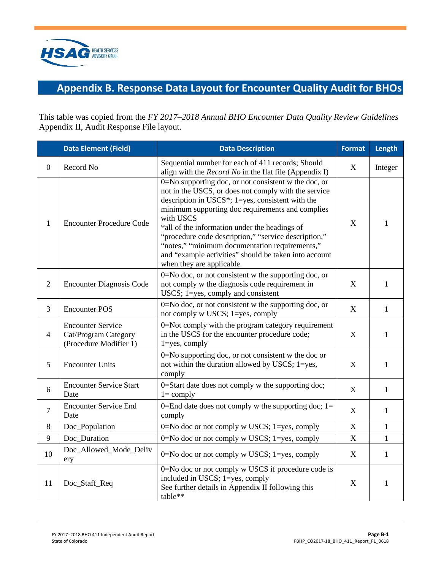

# <span id="page-18-0"></span>**Appendix B. Response Data Layout for Encounter Quality Audit for BHOs**

This table was copied from the *FY 2017–2018 Annual BHO Encounter Data Quality Review Guidelines*  Appendix II, Audit Response File layout.

|                | <b>Data Element (Field)</b>                                                | <b>Data Description</b>                                                                                                                                                                                                                                                                                                                                                                                                                                                                 | <b>Format</b> | Length       |
|----------------|----------------------------------------------------------------------------|-----------------------------------------------------------------------------------------------------------------------------------------------------------------------------------------------------------------------------------------------------------------------------------------------------------------------------------------------------------------------------------------------------------------------------------------------------------------------------------------|---------------|--------------|
| $\mathbf{0}$   | Record No                                                                  | Sequential number for each of 411 records; Should<br>align with the <i>Record No</i> in the flat file (Appendix I)                                                                                                                                                                                                                                                                                                                                                                      | X             | Integer      |
| $\mathbf{1}$   | <b>Encounter Procedure Code</b>                                            | 0=No supporting doc, or not consistent w the doc, or<br>not in the USCS, or does not comply with the service<br>description in USCS*; $1 = yes$ , consistent with the<br>minimum supporting doc requirements and complies<br>with USCS<br>*all of the information under the headings of<br>"procedure code description," "service description,"<br>"notes," "minimum documentation requirements,"<br>and "example activities" should be taken into account<br>when they are applicable. |               |              |
| $\overline{2}$ | <b>Encounter Diagnosis Code</b>                                            | 0=No doc, or not consistent w the supporting doc, or<br>not comply w the diagnosis code requirement in<br>USCS; 1=yes, comply and consistent                                                                                                                                                                                                                                                                                                                                            |               | $\mathbf{1}$ |
| 3              | <b>Encounter POS</b>                                                       | 0=No doc, or not consistent w the supporting doc, or<br>not comply w USCS; 1=yes, comply                                                                                                                                                                                                                                                                                                                                                                                                | X             | $\mathbf{1}$ |
| $\overline{4}$ | <b>Encounter Service</b><br>Cat/Program Category<br>(Procedure Modifier 1) | 0=Not comply with the program category requirement<br>in the USCS for the encounter procedure code;<br>$1 = yes$ , comply                                                                                                                                                                                                                                                                                                                                                               | X             | $\mathbf{1}$ |
| 5              | <b>Encounter Units</b>                                                     | 0=No supporting doc, or not consistent w the doc or<br>not within the duration allowed by USCS; 1=yes,<br>comply                                                                                                                                                                                                                                                                                                                                                                        | X             | $\mathbf{1}$ |
| 6              | <b>Encounter Service Start</b><br>Date                                     | 0=Start date does not comply w the supporting doc;<br>$l = \text{comply}$                                                                                                                                                                                                                                                                                                                                                                                                               | X             | $\mathbf{1}$ |
| $\overline{7}$ | <b>Encounter Service End</b><br>Date                                       | 0=End date does not comply w the supporting doc; $1=$<br>comply                                                                                                                                                                                                                                                                                                                                                                                                                         | X             | $\mathbf{1}$ |
| 8              | Doc_Population                                                             | 0=No doc or not comply w USCS; 1=yes, comply                                                                                                                                                                                                                                                                                                                                                                                                                                            | $\mathbf X$   | $\mathbf{1}$ |
| 9              | Doc_Duration                                                               | $0 = No$ doc or not comply w USCS; $1 = yes$ , comply                                                                                                                                                                                                                                                                                                                                                                                                                                   | X             | $\mathbf{1}$ |
| 10             | Doc_Allowed_Mode_Deliv<br>ery                                              | 0=No doc or not comply w USCS; 1=yes, comply                                                                                                                                                                                                                                                                                                                                                                                                                                            | $\mathbf X$   | $\mathbf{1}$ |
| 11             | Doc_Staff_Req                                                              | 0=No doc or not comply w USCS if procedure code is<br>included in USCS; 1=yes, comply<br>See further details in Appendix II following this<br>table**                                                                                                                                                                                                                                                                                                                                   | X             | $\mathbf{1}$ |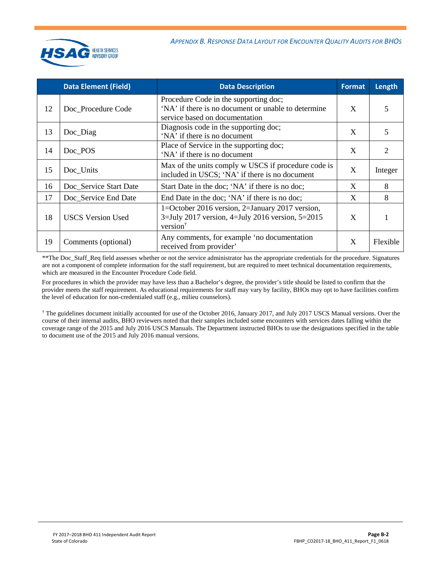

|    | <b>Data Element (Field)</b> | <b>Data Description</b>                                                                                                         | <b>Format</b> | Length   |
|----|-----------------------------|---------------------------------------------------------------------------------------------------------------------------------|---------------|----------|
| 12 | Doc Procedure Code          | Procedure Code in the supporting doc;<br>'NA' if there is no document or unable to determine<br>service based on documentation  | X             | 5        |
| 13 | Doc_Diag                    | Diagnosis code in the supporting doc;<br>'NA' if there is no document                                                           | X             | 5        |
| 14 | Doc_POS                     | Place of Service in the supporting doc;<br>'NA' if there is no document                                                         | X             | 2        |
| 15 | Doc_Units                   | Max of the units comply w USCS if procedure code is<br>included in USCS; 'NA' if there is no document                           | X             | Integer  |
| 16 | Doc_Service Start Date      | Start Date in the doc; 'NA' if there is no doc;                                                                                 | X             | 8        |
| 17 | Doc_Service End Date        | End Date in the doc; 'NA' if there is no doc;                                                                                   | X             | 8        |
| 18 | <b>USCS Version Used</b>    | 1=October 2016 version, 2=January 2017 version,<br>$3 =$ July 2017 version, 4=July 2016 version, 5=2015<br>version <sup>†</sup> | X             |          |
| 19 | Comments (optional)         | Any comments, for example 'no documentation<br>received from provider'                                                          | X             | Flexible |

\*\*The Doc\_Staff\_Req field assesses whether or not the service administrator has the appropriate credentials for the procedure. Signatures are not a component of complete information for the staff requirement, but are required to meet technical documentation requirements, which are measured in the Encounter Procedure Code field.

For procedures in which the provider may have less than a Bachelor's degree, the provider's title should be listed to confirm that the provider meets the staff requirement. As educational requirements for staff may vary by facility, BHOs may opt to have facilities confirm the level of education for non-credentialed staff (e.g., milieu counselors).

† The guidelines document initially accounted for use of the October 2016, January 2017, and July 2017 USCS Manual versions. Over the course of their internal audits, BHO reviewers noted that their samples included some encounters with services dates falling within the coverage range of the 2015 and July 2016 USCS Manuals. The Department instructed BHOs to use the designations specified in the table to document use of the 2015 and July 2016 manual versions.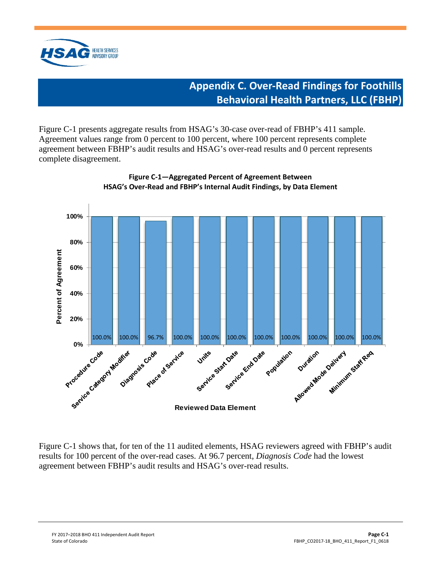<span id="page-20-0"></span>

# **Appendix C. Over-Read Findings for Foothills Behavioral Health Partners, LLC (FBHP)**

Figure C-1 presents aggregate results from HSAG's 30-case over-read of FBHP's 411 sample. Agreement values range from 0 percent to 100 percent, where 100 percent represents complete agreement between FBHP's audit results and HSAG's over-read results and 0 percent represents complete disagreement.





Figure C-1 shows that, for ten of the 11 audited elements, HSAG reviewers agreed with FBHP's audit results for 100 percent of the over-read cases. At 96.7 percent, *Diagnosis Code* had the lowest agreement between FBHP's audit results and HSAG's over-read results.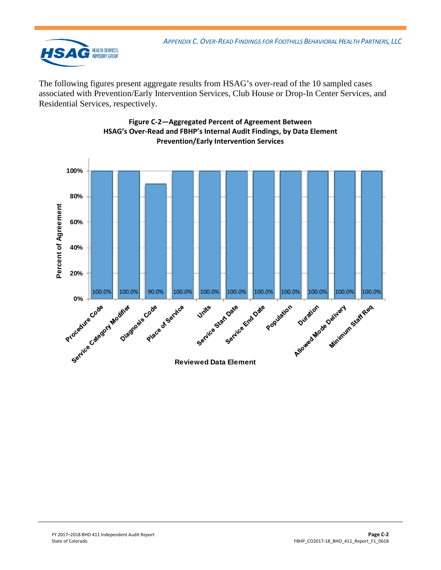

The following figures present aggregate results from HSAG's over-read of the 10 sampled cases associated with Prevention/Early Intervention Services, Club House or Drop-In Center Services, and Residential Services, respectively.



#### **Figure C-2—Aggregated Percent of Agreement Between HSAG's Over-Read and FBHP's Internal Audit Findings, by Data Element Prevention/Early Intervention Services**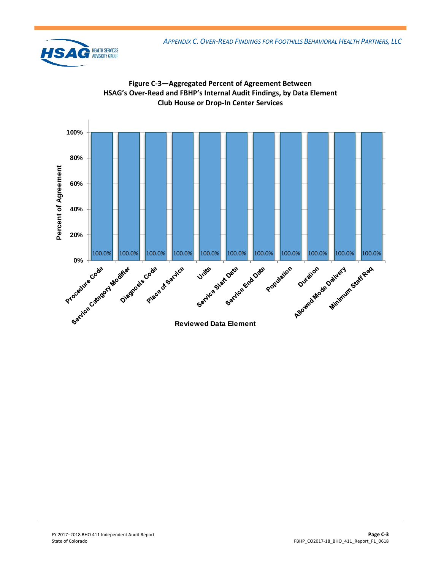